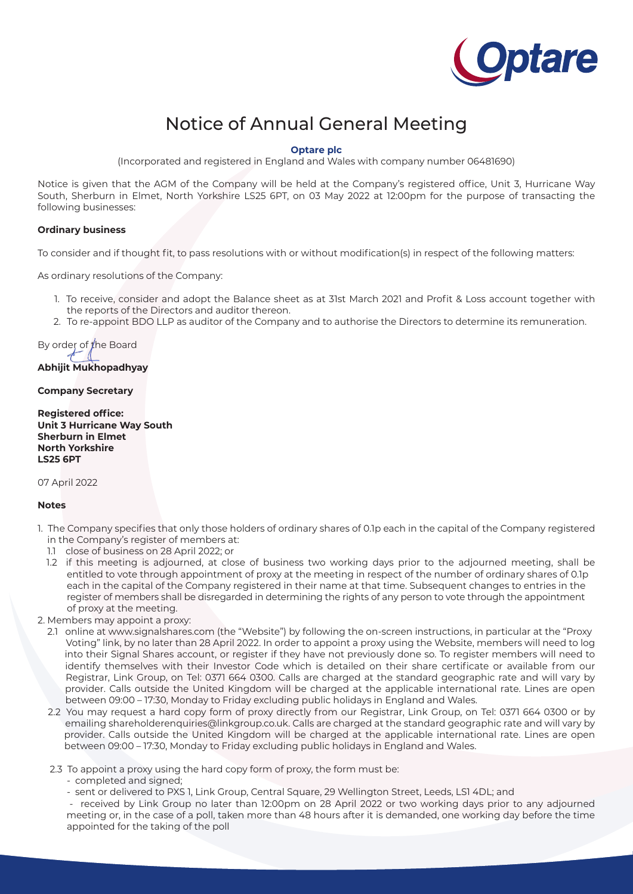

# Notice of Annual General Meeting

### **Optare plc**

(Incorporated and registered in England and Wales with company number 06481690)

Notice is given that the AGM of the Company will be held at the Company's registered office, Unit 3, Hurricane Way South, Sherburn in Elmet, North Yorkshire LS25 6PT, on 03 May 2022 at 12:00pm for the purpose of transacting the following businesses:

#### **Ordinary business**

To consider and if thought fit, to pass resolutions with or without modification(s) in respect of the following matters:

As ordinary resolutions of the Company:

- 1. To receive, consider and adopt the Balance sheet as at 31st March 2021 and Profit & Loss account together with the reports of the Directors and auditor thereon.
- 2. To re-appoint BDO LLP as auditor of the Company and to authorise the Directors to determine its remuneration.

By order of the Board **Abhijit Mukhopadhyay**

## **Company Secretary**

**Registered office: Unit 3 Hurricane Way South Sherburn in Elmet North Yorkshire LS25 6PT**

07 April 2022

#### **Notes**

- 1. The Company specifies that only those holders of ordinary shares of 0.1p each in the capital of the Company registered in the Company's register of members at:
	- 1.1 close of business on 28 April 2022; or
	- 1.2 if this meeting is adjourned, at close of business two working days prior to the adjourned meeting, shall be entitled to vote through appointment of proxy at the meeting in respect of the number of ordinary shares of 0.1p each in the capital of the Company registered in their name at that time. Subsequent changes to entries in the register of members shall be disregarded in determining the rights of any person to vote through the appointment of proxy at the meeting.

2. Members may appoint a proxy:

- 2.1 online at www.signalshares.com (the "Website") by following the on-screen instructions, in particular at the "Proxy Voting" link, by no later than 28 April 2022. In order to appoint a proxy using the Website, members will need to log into their Signal Shares account, or register if they have not previously done so. To register members will need to identify themselves with their Investor Code which is detailed on their share certificate or available from our Registrar, Link Group, on Tel: 0371 664 0300. Calls are charged at the standard geographic rate and will vary by provider. Calls outside the United Kingdom will be charged at the applicable international rate. Lines are open between 09:00 – 17:30, Monday to Friday excluding public holidays in England and Wales.
- 2.2 You may request a hard copy form of proxy directly from our Registrar, Link Group, on Tel: 0371 664 0300 or by emailing shareholderenquiries@linkgroup.co.uk. Calls are charged at the standard geographic rate and will vary by provider. Calls outside the United Kingdom will be charged at the applicable international rate. Lines are open between 09:00 – 17:30, Monday to Friday excluding public holidays in England and Wales.
- 2.3 To appoint a proxy using the hard copy form of proxy, the form must be:
	- completed and signed;
	- sent or delivered to PXS 1, Link Group, Central Square, 29 Wellington Street, Leeds, LS1 4DL; and

 - received by Link Group no later than 12:00pm on 28 April 2022 or two working days prior to any adjourned meeting or, in the case of a poll, taken more than 48 hours after it is demanded, one working day before the time appointed for the taking of the poll